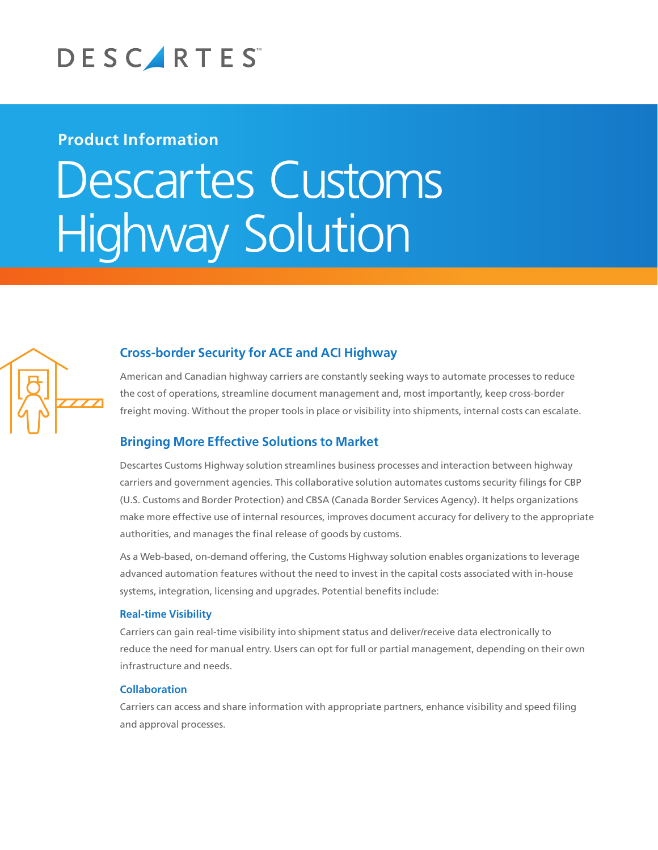

## **Product Information**

# Descartes Customs **Highway Solution**



## **Cross-border Security for ACE and ACI Highway**

American and Canadian highway carriers are constantly seeking ways to automate processes to reduce the cost of operations, streamline document management and, most importantly, keep cross-border freight moving. Without the proper tools in place or visibility into shipments, internal costs can escalate.

## **Bringing More Effective Solutions to Market**

Descartes Customs Highway solution streamlines business processes and interaction between highway carriers and government agencies. This collaborative solution automates customs security filings for CBP (U.S. Customs and Border Protection) and CBSA (Canada Border Services Agency). It helps organizations make more effective use of internal resources, improves document accuracy for delivery to the appropriate authorities, and manages the final release of goods by customs.

As a Web-based, on-demand offering, the Customs Highway solution enables organizations to leverage advanced automation features without the need to invest in the capital costs associated with in-house systems, integration, licensing and upgrades. Potential benefits include:

#### **Real-time Visibility**

Carriers can gain real-time visibility into shipment status and deliver/receive data electronically to reduce the need for manual entry. Users can opt for full or partial management, depending on their own infrastructure and needs.

#### **Collaboration**

Carriers can access and share information with appropriate partners, enhance visibility and speed filing and approval processes.